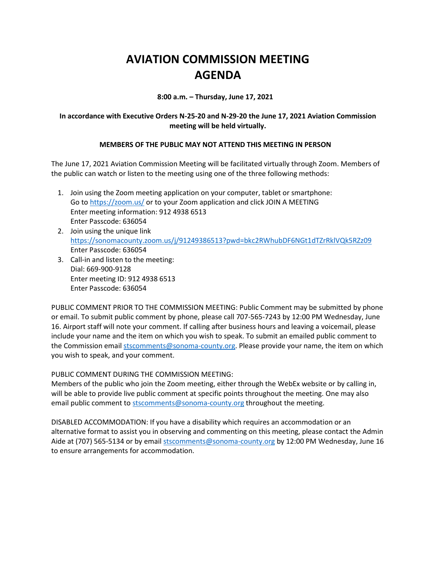## **AVIATION COMMISSION MEETING AGENDA**

**8:00 a.m. – Thursday, June 17, 2021**

## **In accordance with Executive Orders N-25-20 and N-29-20 the June 17, 2021 Aviation Commission meeting will be held virtually.**

## **MEMBERS OF THE PUBLIC MAY NOT ATTEND THIS MEETING IN PERSON**

The June 17, 2021 Aviation Commission Meeting will be facilitated virtually through Zoom. Members of the public can watch or listen to the meeting using one of the three following methods:

- 1. Join using the Zoom meeting application on your computer, tablet or smartphone: Go to<https://zoom.us/> or to your Zoom application and click JOIN A MEETING Enter meeting information: 912 4938 6513 Enter Passcode: 636054
- 2. Join using the unique link <https://sonomacounty.zoom.us/j/91249386513?pwd=bkc2RWhubDF6NGt1dTZrRklVQk5RZz09> Enter Passcode: 636054
- 3. Call-in and listen to the meeting: Dial: 669-900-9128 Enter meeting ID: 912 4938 6513 Enter Passcode: 636054

PUBLIC COMMENT PRIOR TO THE COMMISSION MEETING: Public Comment may be submitted by phone or email. To submit public comment by phone, please call 707-565-7243 by 12:00 PM Wednesday, June 16. Airport staff will note your comment. If calling after business hours and leaving a voicemail, please include your name and the item on which you wish to speak. To submit an emailed public comment to the Commission emai[l stscomments@sonoma-county.org.](mailto:stscomments@sonoma-county.org) Please provide your name, the item on which you wish to speak, and your comment.

PUBLIC COMMENT DURING THE COMMISSION MEETING:

Members of the public who join the Zoom meeting, either through the WebEx website or by calling in, will be able to provide live public comment at specific points throughout the meeting. One may also email public comment to [stscomments@sonoma-county.org](mailto:stscomments@sonoma-county.org) throughout the meeting.

DISABLED ACCOMMODATION: If you have a disability which requires an accommodation or an alternative format to assist you in observing and commenting on this meeting, please contact the Admin Aide at (707) 565-5134 or by emai[l stscomments@sonoma-county.org](mailto:stscomments@sonoma-county.org) by 12:00 PM Wednesday, June 16 to ensure arrangements for accommodation.